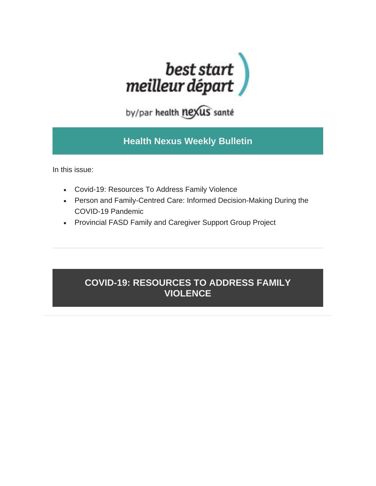

by/par health nexus santé

# **Health Nexus Weekly Bulletin**

In this issue:

- Covid-19: Resources To Address Family Violence
- Person and Family-Centred Care: Informed Decision-Making During the COVID-19 Pandemic
- Provincial FASD Family and Caregiver Support Group Project

# **COVID-19: RESOURCES TO ADDRESS FAMILY VIOLENCE**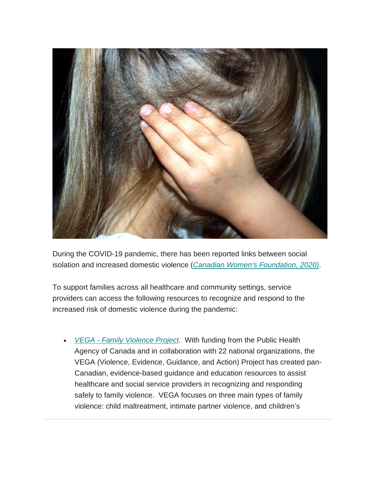

During the COVID-19 pandemic, there has been reported links between social isolation and increased domestic violence (*[Canadian Women's Foundation, 2020\)](https://canadianwomen.org/blog/covid-19-pandemic-gender-based-violence/)*.

To support families across all healthcare and community settings, service providers can access the following resources to recognize and respond to the increased risk of domestic violence during the pandemic:

• *VEGA - [Family Violence Project](https://vegaproject.mcmaster.ca/)*. With funding from the Public Health Agency of Canada and in collaboration with 22 national organizations, the VEGA (Violence, Evidence, Guidance, and Action) Project has created pan-Canadian, evidence-based guidance and education resources to assist healthcare and social service providers in recognizing and responding safely to family violence. VEGA focuses on three main types of family violence: child maltreatment, intimate partner violence, and children's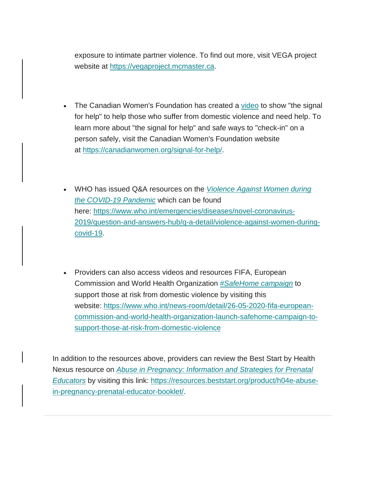exposure to intimate partner violence. To find out more, visit VEGA project website at [https://vegaproject.mcmaster.ca.](https://vegaproject.mcmaster.ca/)

- The Canadian Women's Foundation has created a [video](https://www.youtube.com/watch?v=nUJV-9wvdB8) to show "the signal for help" to help those who suffer from domestic violence and need help. To learn more about "the signal for help" and safe ways to "check-in" on a person safely, visit the Canadian Women's Foundation website at [https://canadianwomen.org/signal-for-help/.](https://canadianwomen.org/signal-for-help/)
- WHO has issued Q&A resources on the *[Violence Against Women during](https://www.who.int/emergencies/diseases/novel-coronavirus-2019/question-and-answers-hub/q-a-detail/violence-against-women-during-covid-19)  [the COVID-19 Pandemic](https://www.who.int/emergencies/diseases/novel-coronavirus-2019/question-and-answers-hub/q-a-detail/violence-against-women-during-covid-19)* which can be found here: [https://www.who.int/emergencies/diseases/novel-coronavirus-](https://www.who.int/emergencies/diseases/novel-coronavirus-2019/question-and-answers-hub/q-a-detail/violence-against-women-during-covid-19)[2019/question-and-answers-hub/q-a-detail/violence-against-women-during](https://www.who.int/emergencies/diseases/novel-coronavirus-2019/question-and-answers-hub/q-a-detail/violence-against-women-during-covid-19)[covid-19.](https://www.who.int/emergencies/diseases/novel-coronavirus-2019/question-and-answers-hub/q-a-detail/violence-against-women-during-covid-19)
- Providers can also access videos and resources FIFA, European Commission and World Health Organization *[#SafeHome campaign](https://www.who.int/news-room/detail/26-05-2020-fifa-european-commission-and-world-health-organization-launch-safehome-campaign-to-support-those-at-risk-from-domestic-violence)* to support those at risk from domestic violence by visiting this website: [https://www.who.int/news-room/detail/26-05-2020-fifa-european](https://www.who.int/news-room/detail/26-05-2020-fifa-european-commission-and-world-health-organization-launch-safehome-campaign-to-support-those-at-risk-from-domestic-violence)[commission-and-world-health-organization-launch-safehome-campaign-to](https://www.who.int/news-room/detail/26-05-2020-fifa-european-commission-and-world-health-organization-launch-safehome-campaign-to-support-those-at-risk-from-domestic-violence)[support-those-at-risk-from-domestic-violence](https://www.who.int/news-room/detail/26-05-2020-fifa-european-commission-and-world-health-organization-launch-safehome-campaign-to-support-those-at-risk-from-domestic-violence)

In addition to the resources above, providers can review the Best Start by Health Nexus resource on *[Abuse in Pregnancy: Information and Strategies for Prenatal](https://resources.beststart.org/product/h04e-abuse-in-pregnancy-prenatal-educator-booklet/)  [Educators](https://resources.beststart.org/product/h04e-abuse-in-pregnancy-prenatal-educator-booklet/)* by visiting this link: [https://resources.beststart.org/product/h04e-abuse](https://resources.beststart.org/product/h04e-abuse-in-pregnancy-prenatal-educator-booklet/)[in-pregnancy-prenatal-educator-booklet/.](https://resources.beststart.org/product/h04e-abuse-in-pregnancy-prenatal-educator-booklet/)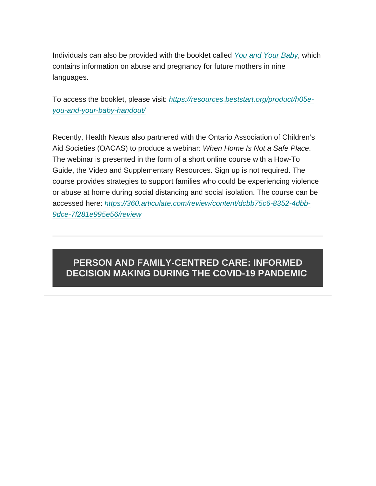Individuals can also be provided with the booklet called *[You and Your Baby](https://resources.beststart.org/product/h05e-you-and-your-baby-handout/)*, which contains information on abuse and pregnancy for future mothers in nine languages.

To access the booklet, please visit: *[https://resources.beststart.org/product/h05e](https://resources.beststart.org/product/h05e-you-and-your-baby-handout/)[you-and-your-baby-handout/](https://resources.beststart.org/product/h05e-you-and-your-baby-handout/)*

Recently, Health Nexus also partnered with the Ontario Association of Children's Aid Societies (OACAS) to produce a webinar: *When Home Is Not a Safe Place*. The webinar is presented in the form of a short online course with a How-To Guide, the Video and Supplementary Resources. Sign up is not required. The course provides strategies to support families who could be experiencing violence or abuse at home during social distancing and social isolation. The course can be accessed here: *[https://360.articulate.com/review/content/dcbb75c6-8352-4dbb-](https://360.articulate.com/review/content/dcbb75c6-8352-4dbb-9dce-7f281e995e56/review)[9dce-7f281e995e56/review](https://360.articulate.com/review/content/dcbb75c6-8352-4dbb-9dce-7f281e995e56/review)*

## **PERSON AND FAMILY-CENTRED CARE: INFORMED DECISION MAKING DURING THE COVID-19 PANDEMIC**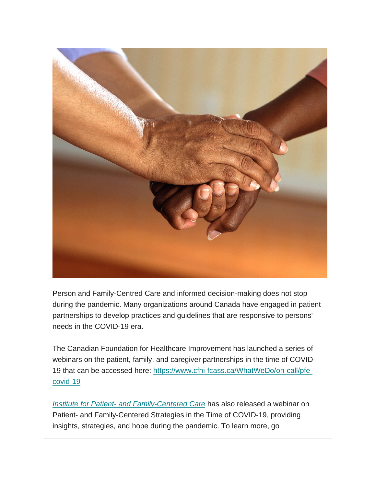

Person and Family-Centred Care and informed decision-making does not stop during the pandemic. Many organizations around Canada have engaged in patient partnerships to develop practices and guidelines that are responsive to persons' needs in the COVID-19 era.

The Canadian Foundation for Healthcare Improvement has launched a series of webinars on the patient, family, and caregiver partnerships in the time of COVID-19 that can be accessed here: [https://www.cfhi-fcass.ca/WhatWeDo/on-call/pfe](https://www.cfhi-fcass.ca/WhatWeDo/on-call/pfe-covid-19)[covid-19](https://www.cfhi-fcass.ca/WhatWeDo/on-call/pfe-covid-19)

*Institute for Patient- [and Family-Centered Care](https://www.ipfcc.org/bestpractices/covid-19/index.html)* has also released a webinar on Patient- and Family-Centered Strategies in the Time of COVID-19, providing insights, strategies, and hope during the pandemic. To learn more, go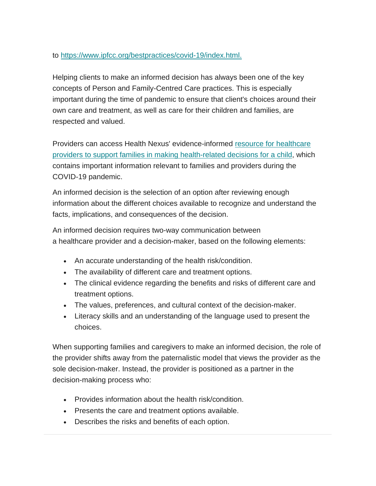#### to [https://www.ipfcc.org/bestpractices/covid-19/index.html.](https://www.ipfcc.org/bestpractices/covid-19/index.htm)

Helping clients to make an informed decision has always been one of the key concepts of Person and Family-Centred Care practices. This is especially important during the time of pandemic to ensure that client's choices around their own care and treatment, as well as care for their children and families, are respected and valued.

Providers can access Health Nexus' evidence-informed resource for healthcare [providers to support families in making health-related decisions for a child,](https://resources.beststart.org/wp-content/uploads/2019/04/J37-E.pdf) which contains important information relevant to families and providers during the COVID-19 pandemic.

An informed decision is the selection of an option after reviewing enough information about the different choices available to recognize and understand the facts, implications, and consequences of the decision.

An informed decision requires two-way communication between a healthcare provider and a decision-maker, based on the following elements:

- An accurate understanding of the health risk/condition.
- The availability of different care and treatment options.
- The clinical evidence regarding the benefits and risks of different care and treatment options.
- The values, preferences, and cultural context of the decision-maker.
- Literacy skills and an understanding of the language used to present the choices.

When supporting families and caregivers to make an informed decision, the role of the provider shifts away from the paternalistic model that views the provider as the sole decision-maker. Instead, the provider is positioned as a partner in the decision-making process who:

- Provides information about the health risk/condition.
- Presents the care and treatment options available.
- Describes the risks and benefits of each option.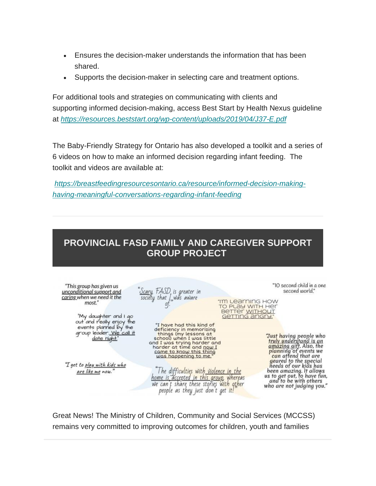- Ensures the decision-maker understands the information that has been shared.
- Supports the decision-maker in selecting care and treatment options.

For additional tools and strategies on communicating with clients and supporting informed decision-making, access Best Start by Health Nexus guideline at *<https://resources.beststart.org/wp-content/uploads/2019/04/J37-E.pdf>*

The Baby-Friendly Strategy for Ontario has also developed a toolkit and a series of 6 videos on how to make an informed decision regarding infant feeding. The toolkit and videos are available at:

*[https://breastfeedingresourcesontario.ca/resource/informed-decision-making](https://breastfeedingresourcesontario.ca/resource/informed-decision-making-having-meaningful-conversations-regarding-infant-feeding)[having-meaningful-conversations-regarding-infant-feeding](https://breastfeedingresourcesontario.ca/resource/informed-decision-making-having-meaningful-conversations-regarding-infant-feeding)*

### **PROVINCIAL FASD FAMILY AND CAREGIVER SUPPORT GROUP PROJECT**



Great News! The Ministry of Children, Community and Social Services (MCCSS) remains very committed to improving outcomes for children, youth and families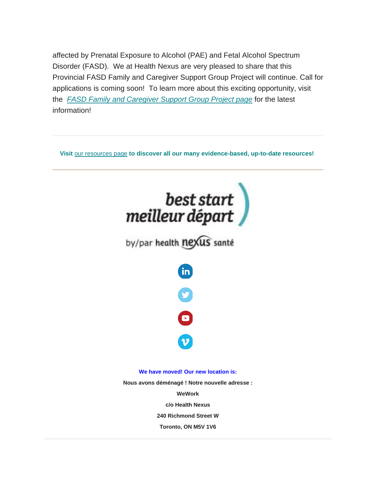affected by Prenatal Exposure to Alcohol (PAE) and Fetal Alcohol Spectrum Disorder (FASD). We at Health Nexus are very pleased to share that this Provincial FASD Family and Caregiver Support Group Project will continue. Call for applications is coming soon! To learn more about this exciting opportunity, visit the *[FASD Family and Caregiver Support Group Project page](https://en.healthnexus.ca/FASDSupportGroups-Details)* for the latest information!

**Visit** [our resources page](https://resources.beststart.org/) **to discover all our many evidence-based, up-to-date resources!**



**240 Richmond Street W**

**Toronto, ON M5V 1V6**